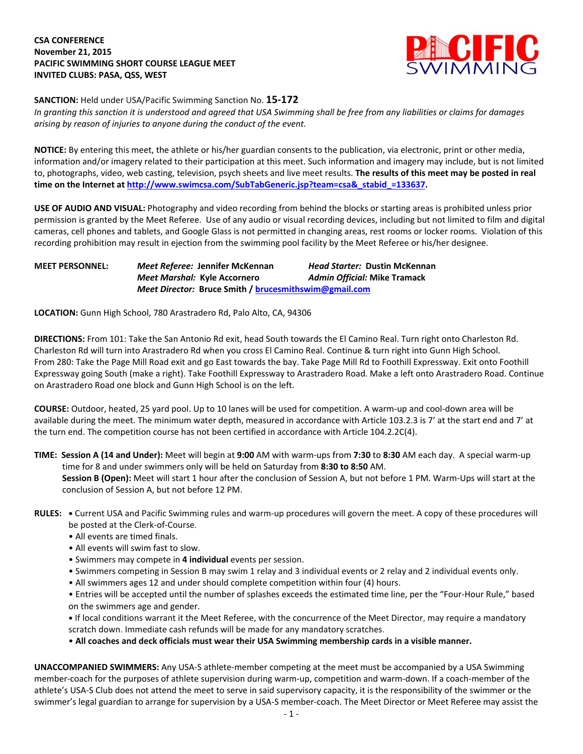### **CSA CONFERENCE November 21, 2015 PACIFIC SWIMMING SHORT COURSE LEAGUE MEET INVITED CLUBS: PASA, QSS, WEST**



**SANCTION:** Held under USA/Pacific Swimming Sanction No. **15-172**

*In granting this sanction it is understood and agreed that USA Swimming shall be free from any liabilities or claims for damages arising by reason of injuries to anyone during the conduct of the event.*

**NOTICE:** By entering this meet, the athlete or his/her guardian consents to the publication, via electronic, print or other media, information and/or imagery related to their participation at this meet. Such information and imagery may include, but is not limited to, photographs, video, web casting, television, psych sheets and live meet results. **The results of this meet may be posted in real time on the Internet a[t http://www.swimcsa.com/SubTabGeneric.jsp?team=csa&\\_stabid\\_=133637.](http://www.swimcsa.com/SubTabGeneric.jsp?team=csa&_stabid_=133637)**

**USE OF AUDIO AND VISUAL:** Photography and video recording from behind the blocks or starting areas is prohibited unless prior permission is granted by the Meet Referee. Use of any audio or visual recording devices, including but not limited to film and digital cameras, cell phones and tablets, and Google Glass is not permitted in changing areas, rest rooms or locker rooms. Violation of this recording prohibition may result in ejection from the swimming pool facility by the Meet Referee or his/her designee.

## **MEET PERSONNEL:** *Meet Referee:* **Jennifer McKennan** *Head Starter:* **Dustin McKennan** *Meet Marshal:* **Kyle Accornero** *Admin Official:* **Mike Tramack** *Meet Director:* **Bruce Smith / [brucesmithswim@gmail.com](mailto:brucesmithswim@gmail.com)**

**LOCATION:** Gunn High School, 780 Arastradero Rd, Palo Alto, CA, 94306

**DIRECTIONS:** From 101: Take the San Antonio Rd exit, head South towards the El Camino Real. Turn right onto Charleston Rd. Charleston Rd will turn into Arastradero Rd when you cross El Camino Real. Continue & turn right into Gunn High School. From 280: Take the Page Mill Road exit and go East towards the bay. Take Page Mill Rd to Foothill Expressway. Exit onto Foothill Expressway going South (make a right). Take Foothill Expressway to Arastradero Road. Make a left onto Arastradero Road. Continue on Arastradero Road one block and Gunn High School is on the left.

**COURSE:** Outdoor, heated, 25 yard pool. Up to 10 lanes will be used for competition. A warm-up and cool-down area will be available during the meet. The minimum water depth, measured in accordance with Article 103.2.3 is 7' at the start end and 7' at the turn end. The competition course has not been certified in accordance with Article 104.2.2C(4).

# **TIME: Session A (14 and Under):** Meet will begin at **9:00** AM with warm-ups from **7:30** to **8:30** AM each day. A special warm-up time for 8 and under swimmers only will be held on Saturday from **8:30 to 8:50** AM. **Session B (Open):** Meet will start 1 hour after the conclusion of Session A, but not before 1 PM. Warm-Ups will start at the conclusion of Session A, but not before 12 PM.

- **RULES: •** Current USA and Pacific Swimming rules and warm-up procedures will govern the meet. A copy of these procedures will be posted at the Clerk-of-Course.
	- All events are timed finals.
	- All events will swim fast to slow.
	- Swimmers may compete in **4 individual** events per session.
	- Swimmers competing in Session B may swim 1 relay and 3 individual events or 2 relay and 2 individual events only.
	- All swimmers ages 12 and under should complete competition within four (4) hours.

• Entries will be accepted until the number of splashes exceeds the estimated time line, per the "Four-Hour Rule," based on the swimmers age and gender.

**•** If local conditions warrant it the Meet Referee, with the concurrence of the Meet Director, may require a mandatory scratch down. Immediate cash refunds will be made for any mandatory scratches.

• **All coaches and deck officials must wear their USA Swimming membership cards in a visible manner.** 

**UNACCOMPANIED SWIMMERS:** Any USA-S athlete-member competing at the meet must be accompanied by a USA Swimming member-coach for the purposes of athlete supervision during warm-up, competition and warm-down. If a coach-member of the athlete's USA-S Club does not attend the meet to serve in said supervisory capacity, it is the responsibility of the swimmer or the swimmer's legal guardian to arrange for supervision by a USA-S member-coach. The Meet Director or Meet Referee may assist the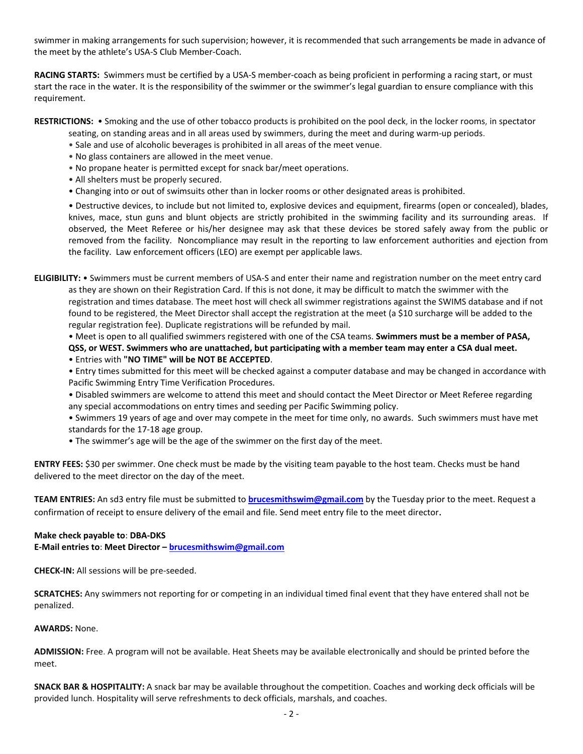swimmer in making arrangements for such supervision; however, it is recommended that such arrangements be made in advance of the meet by the athlete's USA-S Club Member-Coach.

**RACING STARTS:** Swimmers must be certified by a USA-S member-coach as being proficient in performing a racing start, or must start the race in the water. It is the responsibility of the swimmer or the swimmer's legal guardian to ensure compliance with this requirement.

**RESTRICTIONS:** • Smoking and the use of other tobacco products is prohibited on the pool deck, in the locker rooms, in spectator

- seating, on standing areas and in all areas used by swimmers, during the meet and during warm-up periods.
- Sale and use of alcoholic beverages is prohibited in all areas of the meet venue.
- No glass containers are allowed in the meet venue.
- No propane heater is permitted except for snack bar/meet operations.
- All shelters must be properly secured.
- Changing into or out of swimsuits other than in locker rooms or other designated areas is prohibited.

• Destructive devices, to include but not limited to, explosive devices and equipment, firearms (open or concealed), blades, knives, mace, stun guns and blunt objects are strictly prohibited in the swimming facility and its surrounding areas. If observed, the Meet Referee or his/her designee may ask that these devices be stored safely away from the public or removed from the facility. Noncompliance may result in the reporting to law enforcement authorities and ejection from the facility. Law enforcement officers (LEO) are exempt per applicable laws.

**ELIGIBILITY:** • Swimmers must be current members of USA-S and enter their name and registration number on the meet entry card as they are shown on their Registration Card. If this is not done, it may be difficult to match the swimmer with the registration and times database. The meet host will check all swimmer registrations against the SWIMS database and if not found to be registered, the Meet Director shall accept the registration at the meet (a \$10 surcharge will be added to the regular registration fee). Duplicate registrations will be refunded by mail.

• Meet is open to all qualified swimmers registered with one of the CSA teams. **Swimmers must be a member of PASA, QSS, or WEST. Swimmers who are unattached, but participating with a member team may enter a CSA dual meet.** • Entries with **"NO TIME" will be NOT BE ACCEPTED**.

• Entry times submitted for this meet will be checked against a computer database and may be changed in accordance with Pacific Swimming Entry Time Verification Procedures.

• Disabled swimmers are welcome to attend this meet and should contact the Meet Director or Meet Referee regarding any special accommodations on entry times and seeding per Pacific Swimming policy.

• Swimmers 19 years of age and over may compete in the meet for time only, no awards. Such swimmers must have met standards for the 17-18 age group.

• The swimmer's age will be the age of the swimmer on the first day of the meet.

**ENTRY FEES:** \$30 per swimmer. One check must be made by the visiting team payable to the host team. Checks must be hand delivered to the meet director on the day of the meet.

**TEAM ENTRIES:** An sd3 entry file must be submitted to **[brucesmithswim@gmail.com](mailto:brucesmithswim@gmail.com)** by the Tuesday prior to the meet. Request a confirmation of receipt to ensure delivery of the email and file. Send meet entry file to the meet director.

### **Make check payable to**: **DBA-DKS**

**E-Mail entries to**: **Meet Director – [brucesmithswim@gmail.com](mailto:brucesmithswim@gmail.com)**

**CHECK-IN:** All sessions will be pre-seeded.

**SCRATCHES:** Any swimmers not reporting for or competing in an individual timed final event that they have entered shall not be penalized.

### **AWARDS:** None.

**ADMISSION:** Free. A program will not be available. Heat Sheets may be available electronically and should be printed before the meet.

**SNACK BAR & HOSPITALITY:** A snack bar may be available throughout the competition. Coaches and working deck officials will be provided lunch. Hospitality will serve refreshments to deck officials, marshals, and coaches.